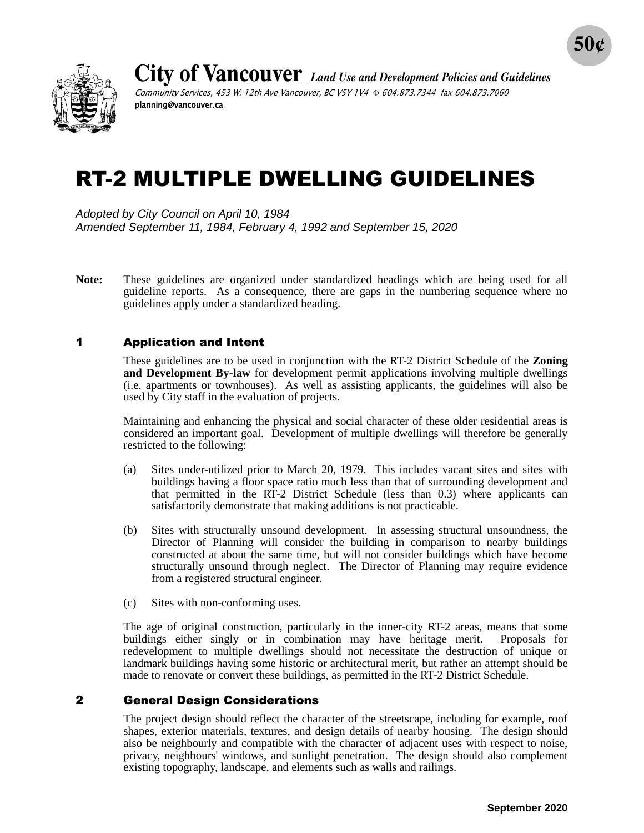

**City of Vancouver** *Land Use and Development Policies and Guidelines* Community Services, 453 W. 12th Ave Vancouver, BC V5Y 1V4  $\Phi$  604.873.7344 fax 604.873.7060 planning@vancouver.ca

# RT-2 MULTIPLE DWELLING GUIDELINES

*Adopted by City Council on April 10, 1984 Amended September 11, 1984, February 4, 1992 and September 15, 2020*

**Note:** These guidelines are organized under standardized headings which are being used for all guideline reports. As a consequence, there are gaps in the numbering sequence where no guidelines apply under a standardized heading.

## 1 Application and Intent

These guidelines are to be used in conjunction with the RT-2 District Schedule of the **Zoning and Development By-law** for development permit applications involving multiple dwellings (i.e. apartments or townhouses). As well as assisting applicants, the guidelines will also be used by City staff in the evaluation of projects.

Maintaining and enhancing the physical and social character of these older residential areas is considered an important goal. Development of multiple dwellings will therefore be generally restricted to the following:

- (a) Sites under-utilized prior to March 20, 1979. This includes vacant sites and sites with buildings having a floor space ratio much less than that of surrounding development and that permitted in the RT-2 District Schedule (less than 0.3) where applicants can satisfactorily demonstrate that making additions is not practicable.
- (b) Sites with structurally unsound development. In assessing structural unsoundness, the Director of Planning will consider the building in comparison to nearby buildings constructed at about the same time, but will not consider buildings which have become structurally unsound through neglect. The Director of Planning may require evidence from a registered structural engineer.
- (c) Sites with non-conforming uses.

The age of original construction, particularly in the inner-city RT-2 areas, means that some buildings either singly or in combination may have heritage merit. Proposals for redevelopment to multiple dwellings should not necessitate the destruction of unique or landmark buildings having some historic or architectural merit, but rather an attempt should be made to renovate or convert these buildings, as permitted in the RT-2 District Schedule.

## 2 General Design Considerations

The project design should reflect the character of the streetscape, including for example, roof shapes, exterior materials, textures, and design details of nearby housing. The design should also be neighbourly and compatible with the character of adjacent uses with respect to noise, privacy, neighbours' windows, and sunlight penetration. The design should also complement existing topography, landscape, and elements such as walls and railings.

**50¢**